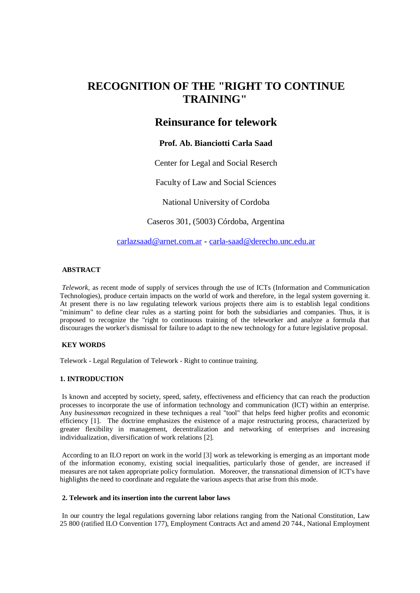# **RECOGNITION OF THE "RIGHT TO CONTINUE TRAINING"**

## **Reinsurance for telework**

### **Prof. Ab. Bianciotti Carla Saad**

Center for Legal and Social Reserch

Faculty of Law and Social Sciences

National University of Cordoba

Caseros 301, (5003) Córdoba, Argentina

[carlazsaad@arnet.com.ar](mailto:carlazsaad@arnet.com.ar) - [carla-saad@derecho.unc.edu.ar](mailto:carla-saad@derecho.unc.edu.ar)

#### **ABSTRACT**

*Telework,* as recent mode of supply of services through the use of ICTs (Information and Communication Technologies), produce certain impacts on the world of work and therefore, in the legal system governing it. At present there is no law regulating telework various projects there aim is to establish legal conditions "minimum" to define clear rules as a starting point for both the subsidiaries and companies. Thus, it is proposed to recognize the "right to continuous training of the teleworker and analyze a formula that discourages the worker's dismissal for failure to adapt to the new technology for a future legislative proposal.

#### **KEY WORDS**

Telework - Legal Regulation of Telework - Right to continue training.

#### **1. INTRODUCTION**

Is known and accepted by society, speed, safety, effectiveness and efficiency that can reach the production processes to incorporate the use of information technology and communication (ICT) within an enterprise. Any *businessman* recognized in these techniques a real "tool" that helps feed higher profits and economic efficiency [1]. The doctrine emphasizes the existence of a major restructuring process, characterized by greater flexibility in management, decentralization and networking of enterprises and increasing individualization, diversification of work relations [2].

According to an ILO report on work in the world [3] work as teleworking is emerging as an important mode of the information economy, existing social inequalities, particularly those of gender, are increased if measures are not taken appropriate policy formulation. Moreover, the transnational dimension of ICT's have highlights the need to coordinate and regulate the various aspects that arise from this mode.

#### **2. Telework and its insertion into the current labor laws**

In our country the legal regulations governing labor relations ranging from the National Constitution, Law 25 800 (ratified ILO Convention 177), Employment Contracts Act and amend 20 744., National Employment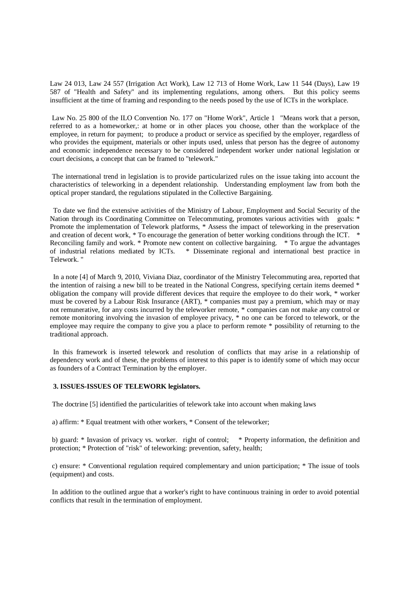Law 24 013, Law 24 557 (Irrigation Act Work), Law 12 713 of Home Work, Law 11 544 (Days), Law 19 587 of "Health and Safety" and its implementing regulations, among others. But this policy seems insufficient at the time of framing and responding to the needs posed by the use of ICTs in the workplace.

Law No. 25 800 of the ILO Convention No. 177 on "Home Work", Article 1 "Means work that a person, referred to as a homeworker,: at home or in other places you choose, other than the workplace of the employee, in return for payment; to produce a product or service as specified by the employer, regardless of who provides the equipment, materials or other inputs used, unless that person has the degree of autonomy and economic independence necessary to be considered independent worker under national legislation or court decisions, a concept that can be framed to "telework."

The international trend in legislation is to provide particularized rules on the issue taking into account the characteristics of teleworking in a dependent relationship. Understanding employment law from both the optical proper standard, the regulations stipulated in the Collective Bargaining.

To date we find the extensive activities of the Ministry of Labour, Employment and Social Security of the Nation through its Coordinating Committee on Telecommuting, promotes various activities with goals: \* Promote the implementation of Telework platforms, \* Assess the impact of teleworking in the preservation and creation of decent work, \* To encourage the generation of better working conditions through the ICT. \* Reconciling family and work. \* Promote new content on collective bargaining. \* To argue the advantages of industrial relations mediated by ICTs. \* Disseminate regional and international best practice in Telework. "

In a note [4] of March 9, 2010, Viviana Diaz, coordinator of the Ministry Telecommuting area, reported that the intention of raising a new bill to be treated in the National Congress, specifying certain items deemed \* obligation the company will provide different devices that require the employee to do their work, \* worker must be covered by a Labour Risk Insurance (ART), \* companies must pay a premium, which may or may not remunerative, for any costs incurred by the teleworker remote, \* companies can not make any control or remote monitoring involving the invasion of employee privacy, \* no one can be forced to telework, or the employee may require the company to give you a place to perform remote \* possibility of returning to the traditional approach.

In this framework is inserted telework and resolution of conflicts that may arise in a relationship of dependency work and of these, the problems of interest to this paper is to identify some of which may occur as founders of a Contract Termination by the employer.

#### **3. ISSUES-ISSUES OF TELEWORK legislators.**

The doctrine [5] identified the particularities of telework take into account when making laws

a) affirm: \* Equal treatment with other workers, \* Consent of the teleworker;

b) guard: \* Invasion of privacy vs. worker. right of control; \* Property information, the definition and protection; \* Protection of "risk" of teleworking: prevention, safety, health;

c) ensure: \* Conventional regulation required complementary and union participation; \* The issue of tools (equipment) and costs.

In addition to the outlined argue that a worker's right to have continuous training in order to avoid potential conflicts that result in the termination of employment.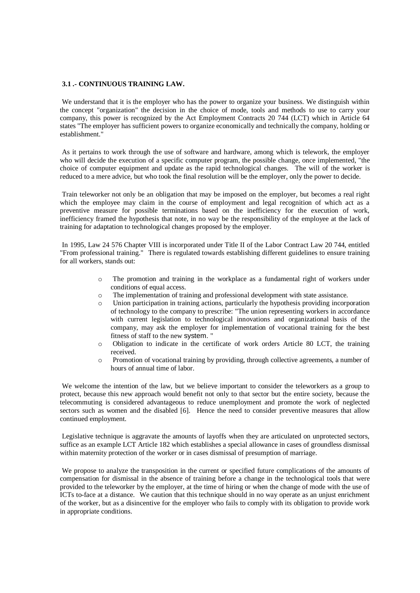#### **3.1 .- CONTINUOUS TRAINING LAW.**

We understand that it is the employer who has the power to organize your business. We distinguish within the concept "organization" the decision in the choice of mode, tools and methods to use to carry your company, this power is recognized by the Act Employment Contracts 20 744 (LCT) which in Article 64 states "The employer has sufficient powers to organize economically and technically the company, holding or establishment."

As it pertains to work through the use of software and hardware, among which is telework, the employer who will decide the execution of a specific computer program, the possible change, once implemented, "the choice of computer equipment and update as the rapid technological changes. The will of the worker is reduced to a mere advice, but who took the final resolution will be the employer, only the power to decide.

Train teleworker not only be an obligation that may be imposed on the employer, but becomes a real right which the employee may claim in the course of employment and legal recognition of which act as a preventive measure for possible terminations based on the inefficiency for the execution of work, inefficiency framed the hypothesis that note, in no way be the responsibility of the employee at the lack of training for adaptation to technological changes proposed by the employer.

In 1995, Law 24 576 Chapter VIII is incorporated under Title II of the Labor Contract Law 20 744, entitled "From professional training." There is regulated towards establishing different guidelines to ensure training for all workers, stands out:

- o The promotion and training in the workplace as a fundamental right of workers under conditions of equal access.
- o The implementation of training and professional development with state assistance.
- o Union participation in training actions, particularly the hypothesis providing incorporation of technology to the company to prescribe: "The union representing workers in accordance with current legislation to technological innovations and organizational basis of the company, may ask the employer for implementation of vocational training for the best fitness of staff to the new system. "
- o Obligation to indicate in the certificate of work orders Article 80 LCT, the training received.
- o Promotion of vocational training by providing, through collective agreements, a number of hours of annual time of labor.

We welcome the intention of the law, but we believe important to consider the teleworkers as a group to protect, because this new approach would benefit not only to that sector but the entire society, because the telecommuting is considered advantageous to reduce unemployment and promote the work of neglected sectors such as women and the disabled [6]. Hence the need to consider preventive measures that allow continued employment.

Legislative technique is aggravate the amounts of layoffs when they are articulated on unprotected sectors, suffice as an example LCT Article 182 which establishes a special allowance in cases of groundless dismissal within maternity protection of the worker or in cases dismissal of presumption of marriage.

We propose to analyze the transposition in the current or specified future complications of the amounts of compensation for dismissal in the absence of training before a change in the technological tools that were provided to the teleworker by the employer, at the time of hiring or when the change of mode with the use of ICTs to-face at a distance. We caution that this technique should in no way operate as an unjust enrichment of the worker, but as a disincentive for the employer who fails to comply with its obligation to provide work in appropriate conditions.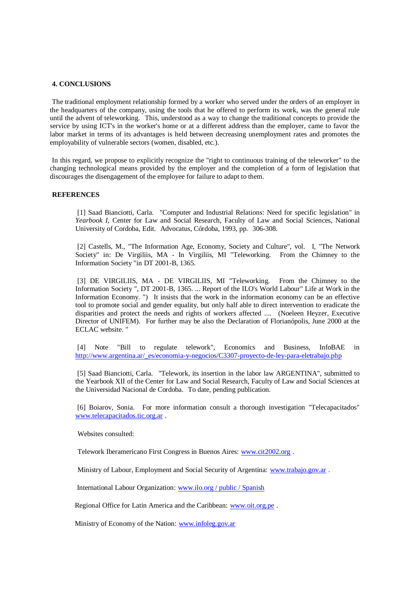#### **4. CONCLUSIONS**

The traditional employment relationship formed by a worker who served under the orders of an employer in the headquarters of the company, using the tools that he offered to perform its work, was the general rule until the advent of teleworking. This, understood as a way to change the traditional concepts to provide the service by using ICT's in the worker's home or at a different address than the employer, came to favor the labor market in terms of its advantages is held between decreasing unemployment rates and promotes the employability of vulnerable sectors (women, disabled, etc.).

In this regard, we propose to explicitly recognize the "right to continuous training of the teleworker" to the changing technological means provided by the employer and the completion of a form of legislation that discourages the disengagement of the employee for failure to adapt to them.

#### **REFERENCES**

[1] Saad Bianciotti, Carla. "Computer and Industrial Relations: Need for specific legislation" in *Yearbook I,* Center for Law and Social Research, Faculty of Law and Social Sciences, National University of Cordoba, Edit. Advocatus, Córdoba, 1993, pp. 306-308.

[2] Castells, M., "The Information Age, Economy, Society and Culture", vol. I, "The Network Society" in: De Virgiliis, MA - In Virgiliis, MI "Teleworking. From the Chimney to the Information Society "in DT 2001-B, 1365.

[3] DE VIRGILIIS, MA - DE VIRGILIIS, MI "Teleworking. From the Chimney to the Information Society ", DT 2001-B, 1365. ... Report of the ILO's World Labour" Life at Work in the Information Economy. ") It insists that the work in the information economy can be an effective tool to promote social and gender equality, but only half able to direct intervention to eradicate the disparities and protect the needs and rights of workers affected .... (Noeleen Heyzer, Executive Director of UNIFEM). For further may be also the Declaration of Florianópolis, June 2000 at the ECLAC website. "

[4] Note "Bill to regulate telework", Economics and Business, InfoBAE in http://www.argentina.ar/\_es/economia-y-negocios/C3307-proyecto-de-ley-para-eletrabajo.php

[5] Saad Bianciotti, Carla. "Telework, its insertion in the labor law ARGENTINA", submitted to the Yearbook XII of the Center for Law and Social Research, Faculty of Law and Social Sciences at the Universidad Nacional de Cordoba. To date, pending publication.

[6] Boiarov, Sonia. For more information consult a thorough investigation "Telecapacitados" [www.telecapacitados.tic.org.ar](http://translate.google.com/translate?hl=es&sl=es&tl=en&prev=_t&u=http://www.telecapacitados.tic.org.ar/) .

Websites consulted:

Telework Iberamericano First Congress in Buenos Aires: [www.cit2002.org](http://translate.google.com/translate?hl=es&sl=es&tl=en&prev=_t&u=http://www.cit2002.org) .

Ministry of Labour, Employment and Social Security of Argentina: [www.trabajo.gov.ar](http://translate.google.com/translate?hl=es&sl=es&tl=en&prev=_t&u=http://www.trabajo.gov.ar) .

International Labour Organization: [www.ilo.org / public / Spanish](http://translate.google.com/translate?hl=es&sl=es&tl=en&prev=_t&u=http://www.ilo.org/public/spanish)

Regional Office for Latin America and the Caribbean: [www.oit.org.pe](http://translate.google.com/translate?hl=es&sl=es&tl=en&prev=_t&u=http://www.oit.org.pe) .

Ministry of Economy of the Nation: [www.infoleg.gov.ar](http://translate.google.com/translate?hl=es&sl=es&tl=en&prev=_t&u=http://www.infoleg.gov.ar/)